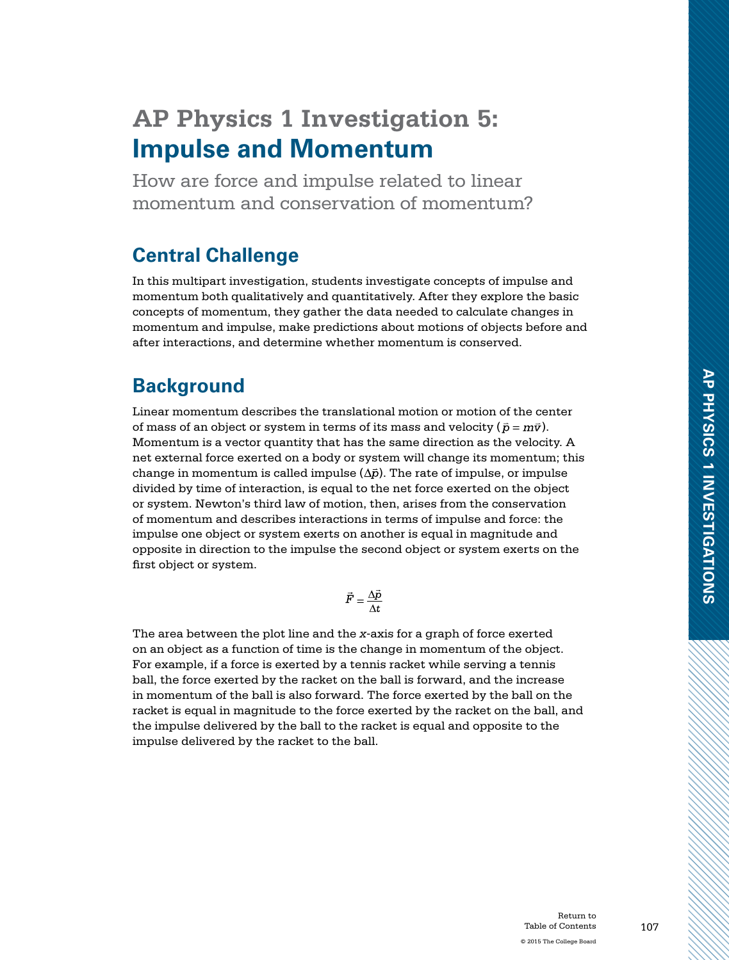# **AP Physics 1 Investigation 5: Impulse and Momentum**

How are force and impulse related to linear momentum and conservation of momentum?

### **Central Challenge**

In this multipart investigation, students investigate concepts of impulse and momentum both qualitatively and quantitatively. After they explore the basic concepts of momentum, they gather the data needed to calculate changes in momentum and impulse, make predictions about motions of objects before and after interactions, and determine whether momentum is conserved.

### **Background**

Linear momentum describes the translational motion or motion of the center of mass of an object or system in terms of its mass and velocity ( $\bar{p} = m\bar{v}$ ). Momentum is a vector quantity that has the same direction as the velocity. A net external force exerted on a body or system will change its momentum; this change in momentum is called impulse  $(\Delta \bar{p})$ . The rate of impulse, or impulse divided by time of interaction, is equal to the net force exerted on the object or system. Newton's third law of motion, then, arises from the conservation of momentum and describes interactions in terms of impulse and force: the impulse one object or system exerts on another is equal in magnitude and opposite in direction to the impulse the second object or system exerts on the first object or system.

$$
\vec{F} = \frac{\Delta \vec{p}}{\Delta t}
$$

The area between the plot line and the *x*-axis for a graph of force exerted on an object as a function of time is the change in momentum of the object. For example, if a force is exerted by a tennis racket while serving a tennis ball, the force exerted by the racket on the ball is forward, and the increase in momentum of the ball is also forward. The force exerted by the ball on the racket is equal in magnitude to the force exerted by the racket on the ball, and the impulse delivered by the ball to the racket is equal and opposite to the impulse delivered by the racket to the ball.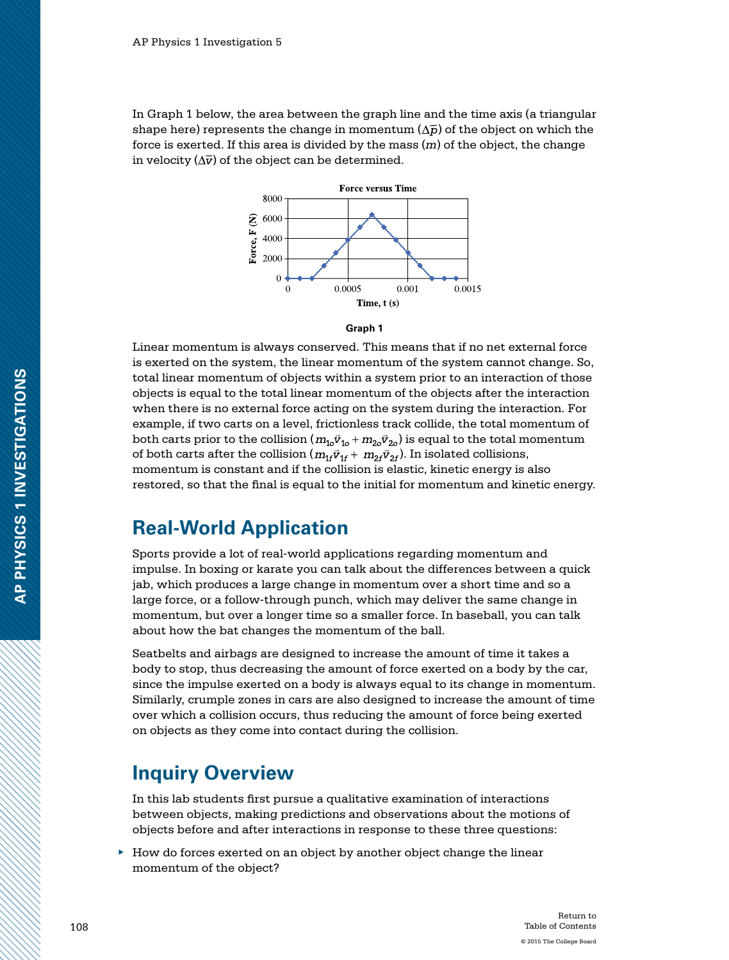In Graph 1 below, the area between the graph line and the time axis (a triangular shape here) represents the change in momentum  $(\Delta \bar{p})$  of the object on which the force is exerted. If this area is divided by the mass (*m*) of the object, the change in velocity  $(\Delta \vec{v})$  of the object can be determined.



#### **Graph 1**

Linear momentum is always conserved. This means that if no net external force is exerted on the system, the linear momentum of the system cannot change. So, total linear momentum of objects within a system prior to an interaction of those objects is equal to the total linear momentum of the objects after the interaction when there is no external force acting on the system during the interaction. For example, if two carts on a level, frictionless track collide, the total momentum of both carts prior to the collision  $(m_{10}\vec{v}_{10} + m_{20}\vec{v}_{20})$  is equal to the total momentum of both carts after the collision  $(m_{1f}\vec{v}_{1f} + m_{2f}\vec{v}_{2f})$ . In isolated collisions, momentum is constant and if the collision is elastic, kinetic energy is also restored, so that the final is equal to the initial for momentum and kinetic energy.

### **Real-World Application**

Sports provide a lot of real-world applications regarding momentum and impulse. In boxing or karate you can talk about the differences between a quick jab, which produces a large change in momentum over a short time and so a large force, or a follow-through punch, which may deliver the same change in momentum, but over a longer time so a smaller force. In baseball, you can talk about how the bat changes the momentum of the ball.

Seatbelts and airbags are designed to increase the amount of time it takes a body to stop, thus decreasing the amount of force exerted on a body by the car, since the impulse exerted on a body is always equal to its change in momentum. Similarly, crumple zones in cars are also designed to increase the amount of time over which a collision occurs, thus reducing the amount of force being exerted on objects as they come into contact during the collision.

### **Inquiry Overview**

In this lab students first pursue a qualitative examination of interactions between objects, making predictions and observations about the motions of objects before and after interactions in response to these three questions:

 $\blacktriangleright$  How do forces exerted on an object by another object change the linear momentum of the object?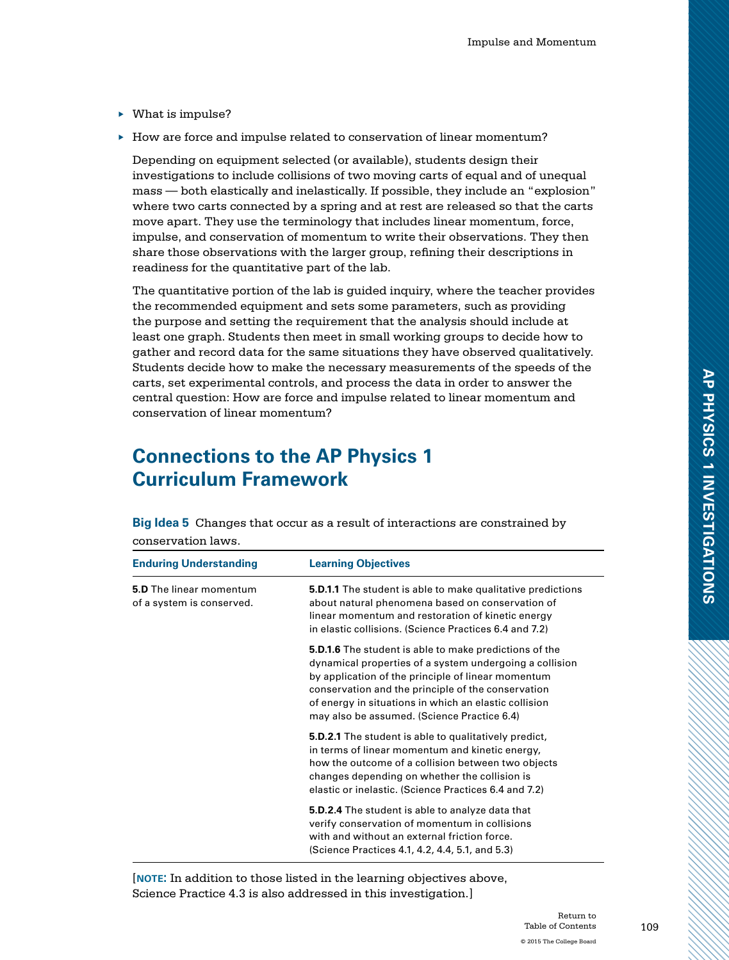- ▶ What is impulse?
- ▶ How are force and impulse related to conservation of linear momentum?

Depending on equipment selected (or available), students design their investigations to include collisions of two moving carts of equal and of unequal mass — both elastically and inelastically. If possible, they include an "explosion" where two carts connected by a spring and at rest are released so that the carts move apart. They use the terminology that includes linear momentum, force, impulse, and conservation of momentum to write their observations. They then share those observations with the larger group, refining their descriptions in readiness for the quantitative part of the lab.

The quantitative portion of the lab is guided inquiry, where the teacher provides the recommended equipment and sets some parameters, such as providing the purpose and setting the requirement that the analysis should include at least one graph. Students then meet in small working groups to decide how to gather and record data for the same situations they have observed qualitatively. Students decide how to make the necessary measurements of the speeds of the carts, set experimental controls, and process the data in order to answer the central question: How are force and impulse related to linear momentum and conservation of linear momentum?

# **Connections to the AP Physics 1 Curriculum Framework**

**Big Idea 5** Changes that occur as a result of interactions are constrained by conservation laws.

| <b>Enduring Understanding</b>                               | <b>Learning Objectives</b>                                                                                                                                                                                                                                                                                                                   |
|-------------------------------------------------------------|----------------------------------------------------------------------------------------------------------------------------------------------------------------------------------------------------------------------------------------------------------------------------------------------------------------------------------------------|
| <b>5.D</b> The linear momentum<br>of a system is conserved. | <b>5.D.1.1</b> The student is able to make qualitative predictions<br>about natural phenomena based on conservation of<br>linear momentum and restoration of kinetic energy<br>in elastic collisions. (Science Practices 6.4 and 7.2)                                                                                                        |
|                                                             | <b>5.D.1.6</b> The student is able to make predictions of the<br>dynamical properties of a system undergoing a collision<br>by application of the principle of linear momentum<br>conservation and the principle of the conservation<br>of energy in situations in which an elastic collision<br>may also be assumed. (Science Practice 6.4) |
|                                                             | <b>5.D.2.1</b> The student is able to qualitatively predict,<br>in terms of linear momentum and kinetic energy,<br>how the outcome of a collision between two objects<br>changes depending on whether the collision is<br>elastic or inelastic. (Science Practices 6.4 and 7.2)                                                              |
|                                                             | <b>5.D.2.4</b> The student is able to analyze data that<br>verify conservation of momentum in collisions<br>with and without an external friction force.<br>(Science Practices 4.1, 4.2, 4.4, 5.1, and 5.3)                                                                                                                                  |

[**note:** In addition to those listed in the learning objectives above, Science Practice 4.3 is also addressed in this investigation.]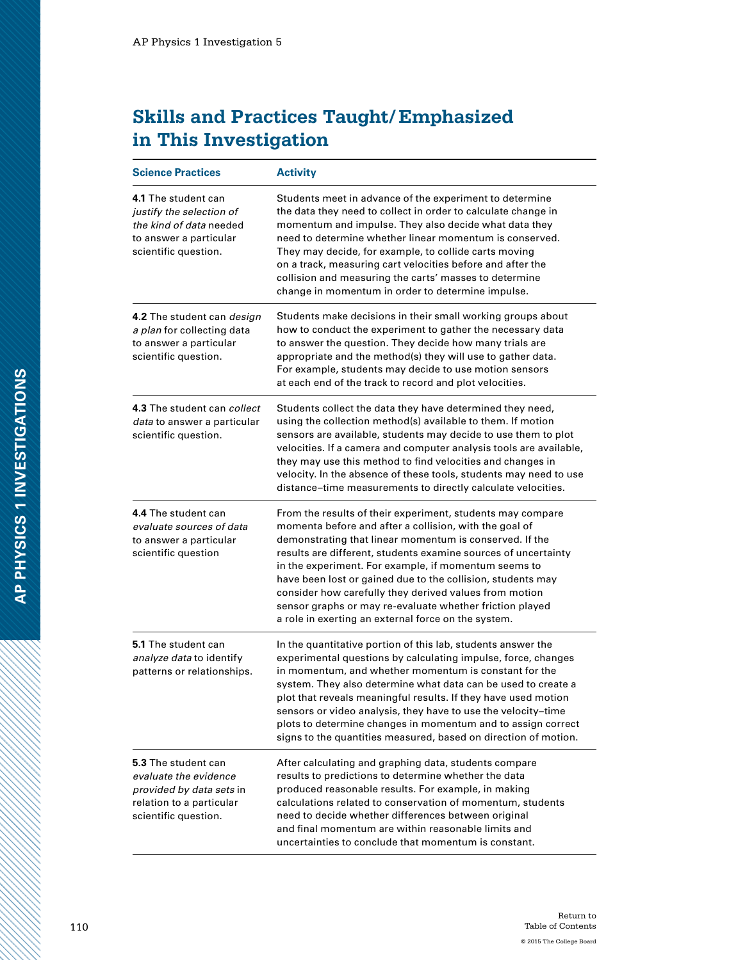# **Skills and Practices Taught/Emphasized in This Investigation**

| <b>Science Practices</b>                                                                                                     | <b>Activity</b>                                                                                                                                                                                                                                                                                                                                                                                                                                                                                                                                       |
|------------------------------------------------------------------------------------------------------------------------------|-------------------------------------------------------------------------------------------------------------------------------------------------------------------------------------------------------------------------------------------------------------------------------------------------------------------------------------------------------------------------------------------------------------------------------------------------------------------------------------------------------------------------------------------------------|
| 4.1 The student can<br>justify the selection of<br>the kind of data needed<br>to answer a particular<br>scientific question. | Students meet in advance of the experiment to determine<br>the data they need to collect in order to calculate change in<br>momentum and impulse. They also decide what data they<br>need to determine whether linear momentum is conserved.<br>They may decide, for example, to collide carts moving<br>on a track, measuring cart velocities before and after the<br>collision and measuring the carts' masses to determine<br>change in momentum in order to determine impulse.                                                                    |
| 4.2 The student can <i>design</i><br>a plan for collecting data<br>to answer a particular<br>scientific question.            | Students make decisions in their small working groups about<br>how to conduct the experiment to gather the necessary data<br>to answer the question. They decide how many trials are<br>appropriate and the method(s) they will use to gather data.<br>For example, students may decide to use motion sensors<br>at each end of the track to record and plot velocities.                                                                                                                                                                              |
| 4.3 The student can collect<br>data to answer a particular<br>scientific question.                                           | Students collect the data they have determined they need,<br>using the collection method(s) available to them. If motion<br>sensors are available, students may decide to use them to plot<br>velocities. If a camera and computer analysis tools are available,<br>they may use this method to find velocities and changes in<br>velocity. In the absence of these tools, students may need to use<br>distance-time measurements to directly calculate velocities.                                                                                   |
| 4.4 The student can<br>evaluate sources of data<br>to answer a particular<br>scientific question                             | From the results of their experiment, students may compare<br>momenta before and after a collision, with the goal of<br>demonstrating that linear momentum is conserved. If the<br>results are different, students examine sources of uncertainty<br>in the experiment. For example, if momentum seems to<br>have been lost or gained due to the collision, students may<br>consider how carefully they derived values from motion<br>sensor graphs or may re-evaluate whether friction played<br>a role in exerting an external force on the system. |
| 5.1 The student can<br>analyze data to identify<br>patterns or relationships.                                                | In the quantitative portion of this lab, students answer the<br>experimental questions by calculating impulse, force, changes<br>in momentum, and whether momentum is constant for the<br>system. They also determine what data can be used to create a<br>plot that reveals meaningful results. If they have used motion<br>sensors or video analysis, they have to use the velocity–time<br>plots to determine changes in momentum and to assign correct<br>signs to the quantities measured, based on direction of motion.                         |
| 5.3 The student can<br>evaluate the evidence<br>provided by data sets in<br>relation to a particular<br>scientific question. | After calculating and graphing data, students compare<br>results to predictions to determine whether the data<br>produced reasonable results. For example, in making<br>calculations related to conservation of momentum, students<br>need to decide whether differences between original<br>and final momentum are within reasonable limits and<br>uncertainties to conclude that momentum is constant.                                                                                                                                              |

a dhe a cheall ann an cheallach an cheallach ann an cheallach ann an cheallach ann an cheallach ann an cheallach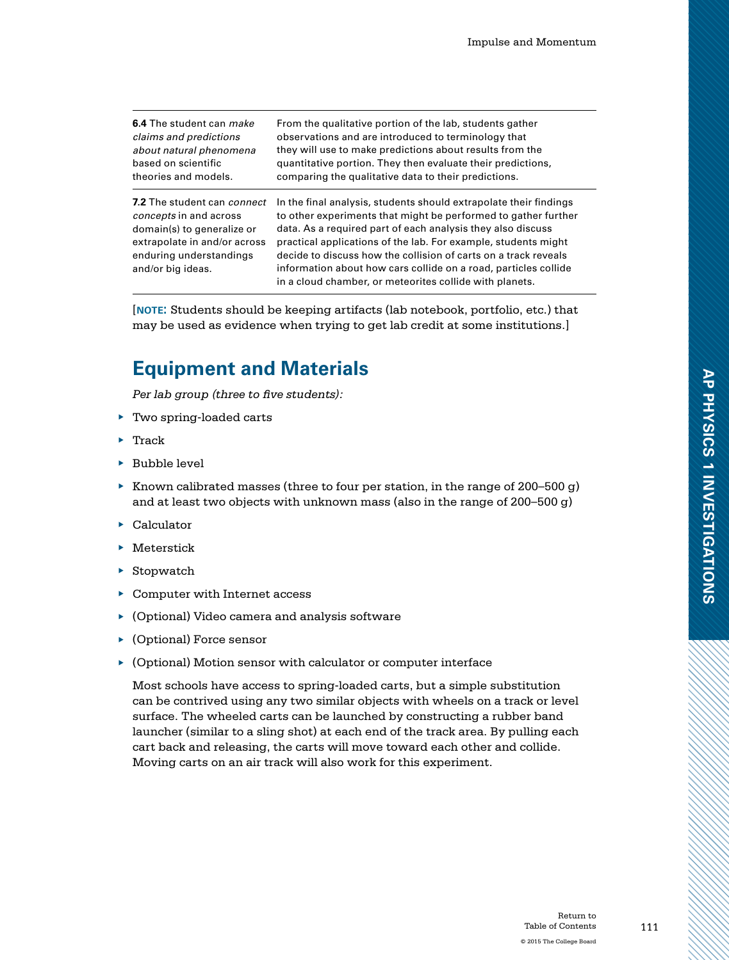| 6.4 The student can make                                                                                                                                            | From the qualitative portion of the lab, students gather                                                                                                                                                                                                                                                                                                                                                                                                              |
|---------------------------------------------------------------------------------------------------------------------------------------------------------------------|-----------------------------------------------------------------------------------------------------------------------------------------------------------------------------------------------------------------------------------------------------------------------------------------------------------------------------------------------------------------------------------------------------------------------------------------------------------------------|
| claims and predictions                                                                                                                                              | observations and are introduced to terminology that                                                                                                                                                                                                                                                                                                                                                                                                                   |
| about natural phenomena                                                                                                                                             | they will use to make predictions about results from the                                                                                                                                                                                                                                                                                                                                                                                                              |
| based on scientific                                                                                                                                                 | quantitative portion. They then evaluate their predictions,                                                                                                                                                                                                                                                                                                                                                                                                           |
| theories and models.                                                                                                                                                | comparing the qualitative data to their predictions.                                                                                                                                                                                                                                                                                                                                                                                                                  |
| 7.2 The student can connect<br>concepts in and across<br>domain(s) to generalize or<br>extrapolate in and/or across<br>enduring understandings<br>and/or big ideas. | In the final analysis, students should extrapolate their findings<br>to other experiments that might be performed to gather further<br>data. As a required part of each analysis they also discuss<br>practical applications of the lab. For example, students might<br>decide to discuss how the collision of carts on a track reveals<br>information about how cars collide on a road, particles collide<br>in a cloud chamber, or meteorites collide with planets. |

[**note:** Students should be keeping artifacts (lab notebook, portfolio, etc.) that may be used as evidence when trying to get lab credit at some institutions.]

### **Equipment and Materials**

*Per lab group (three to five students):*

- ▶ Two spring-loaded carts
- ▶ Track
- ▶ Bubble level
- $\blacktriangleright$  Known calibrated masses (three to four per station, in the range of 200–500 g) and at least two objects with unknown mass (also in the range of 200–500 g)
- ▶ Calculator
- ▶ Meterstick
- ▶ Stopwatch
- ▶ Computer with Internet access
- ▶ (Optional) Video camera and analysis software
- ▶ (Optional) Force sensor
- ▶ (Optional) Motion sensor with calculator or computer interface

Most schools have access to spring-loaded carts, but a simple substitution can be contrived using any two similar objects with wheels on a track or level surface. The wheeled carts can be launched by constructing a rubber band launcher (similar to a sling shot) at each end of the track area. By pulling each cart back and releasing, the carts will move toward each other and collide. Moving carts on an air track will also work for this experiment.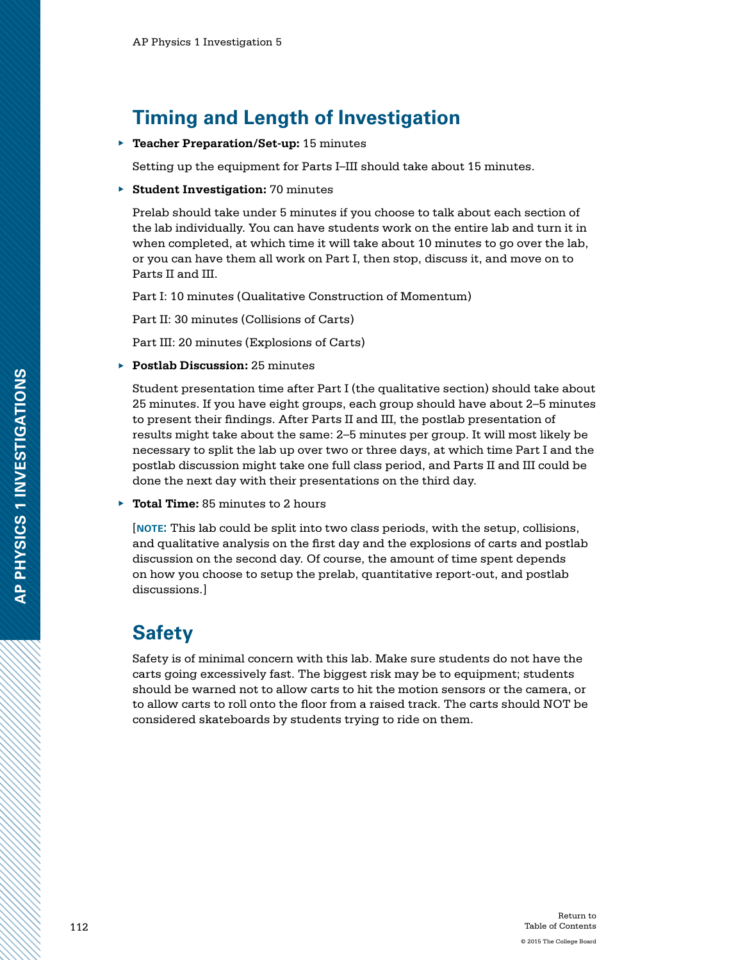### **Timing and Length of Investigation**

▶ **Teacher Preparation/Set-up:** 15 minutes

Setting up the equipment for Parts I–III should take about 15 minutes.

▶ **Student Investigation:** 70 minutes

Prelab should take under 5 minutes if you choose to talk about each section of the lab individually. You can have students work on the entire lab and turn it in when completed, at which time it will take about 10 minutes to go over the lab, or you can have them all work on Part I, then stop, discuss it, and move on to Parts II and III.

Part I: 10 minutes (Qualitative Construction of Momentum)

Part II: 30 minutes (Collisions of Carts)

Part III: 20 minutes (Explosions of Carts)

▶ **Postlab Discussion:** 25 minutes

Student presentation time after Part I (the qualitative section) should take about 25 minutes. If you have eight groups, each group should have about 2–5 minutes to present their findings. After Parts II and III, the postlab presentation of results might take about the same: 2–5 minutes per group. It will most likely be necessary to split the lab up over two or three days, at which time Part I and the postlab discussion might take one full class period, and Parts II and III could be done the next day with their presentations on the third day.

▶ **Total Time:** 85 minutes to 2 hours

[**note:** This lab could be split into two class periods, with the setup, collisions, and qualitative analysis on the first day and the explosions of carts and postlab discussion on the second day. Of course, the amount of time spent depends on how you choose to setup the prelab, quantitative report-out, and postlab discussions.]

### **Safety**

Safety is of minimal concern with this lab. Make sure students do not have the carts going excessively fast. The biggest risk may be to equipment; students should be warned not to allow carts to hit the motion sensors or the camera, or to allow carts to roll onto the floor from a raised track. The carts should NOT be considered skateboards by students trying to ride on them.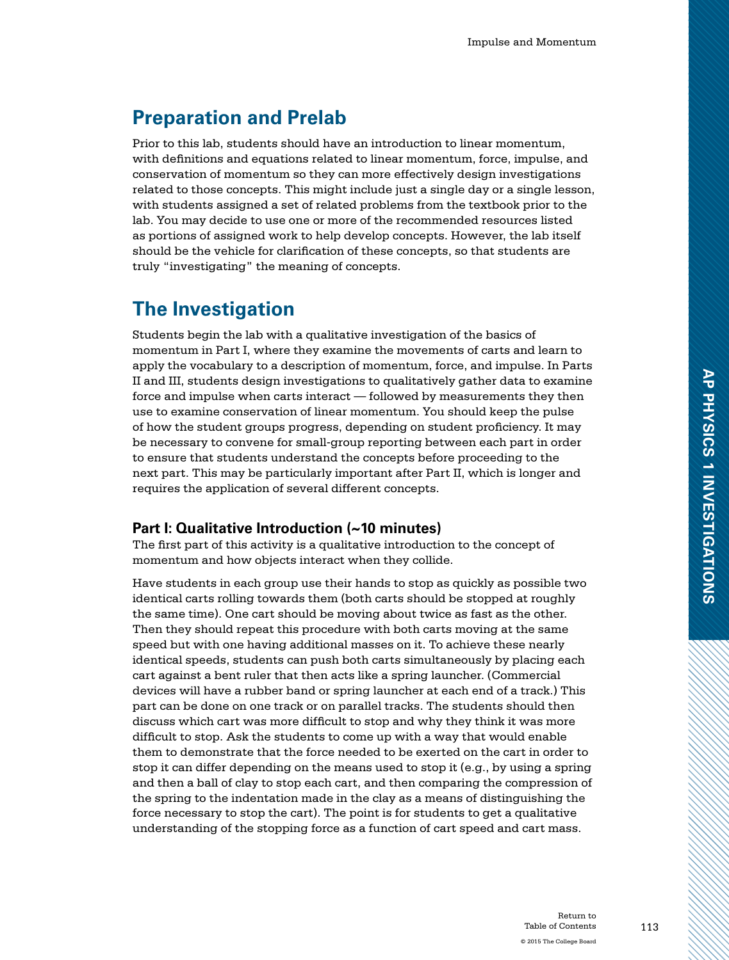# **Preparation and Prelab**

Prior to this lab, students should have an introduction to linear momentum, with definitions and equations related to linear momentum, force, impulse, and conservation of momentum so they can more effectively design investigations related to those concepts. This might include just a single day or a single lesson, with students assigned a set of related problems from the textbook prior to the lab. You may decide to use one or more of the recommended resources listed as portions of assigned work to help develop concepts. However, the lab itself should be the vehicle for clarification of these concepts, so that students are truly "investigating" the meaning of concepts.

### **The Investigation**

Students begin the lab with a qualitative investigation of the basics of momentum in Part I, where they examine the movements of carts and learn to apply the vocabulary to a description of momentum, force, and impulse. In Parts II and III, students design investigations to qualitatively gather data to examine force and impulse when carts interact — followed by measurements they then use to examine conservation of linear momentum. You should keep the pulse of how the student groups progress, depending on student proficiency. It may be necessary to convene for small-group reporting between each part in order to ensure that students understand the concepts before proceeding to the next part. This may be particularly important after Part II, which is longer and requires the application of several different concepts.

### **Part I: Qualitative Introduction (~10 minutes)**

The first part of this activity is a qualitative introduction to the concept of momentum and how objects interact when they collide.

Have students in each group use their hands to stop as quickly as possible two identical carts rolling towards them (both carts should be stopped at roughly the same time). One cart should be moving about twice as fast as the other. Then they should repeat this procedure with both carts moving at the same speed but with one having additional masses on it. To achieve these nearly identical speeds, students can push both carts simultaneously by placing each cart against a bent ruler that then acts like a spring launcher. (Commercial devices will have a rubber band or spring launcher at each end of a track.) This part can be done on one track or on parallel tracks. The students should then discuss which cart was more difficult to stop and why they think it was more difficult to stop. Ask the students to come up with a way that would enable them to demonstrate that the force needed to be exerted on the cart in order to stop it can differ depending on the means used to stop it (e.g., by using a spring and then a ball of clay to stop each cart, and then comparing the compression of the spring to the indentation made in the clay as a means of distinguishing the force necessary to stop the cart). The point is for students to get a qualitative understanding of the stopping force as a function of cart speed and cart mass.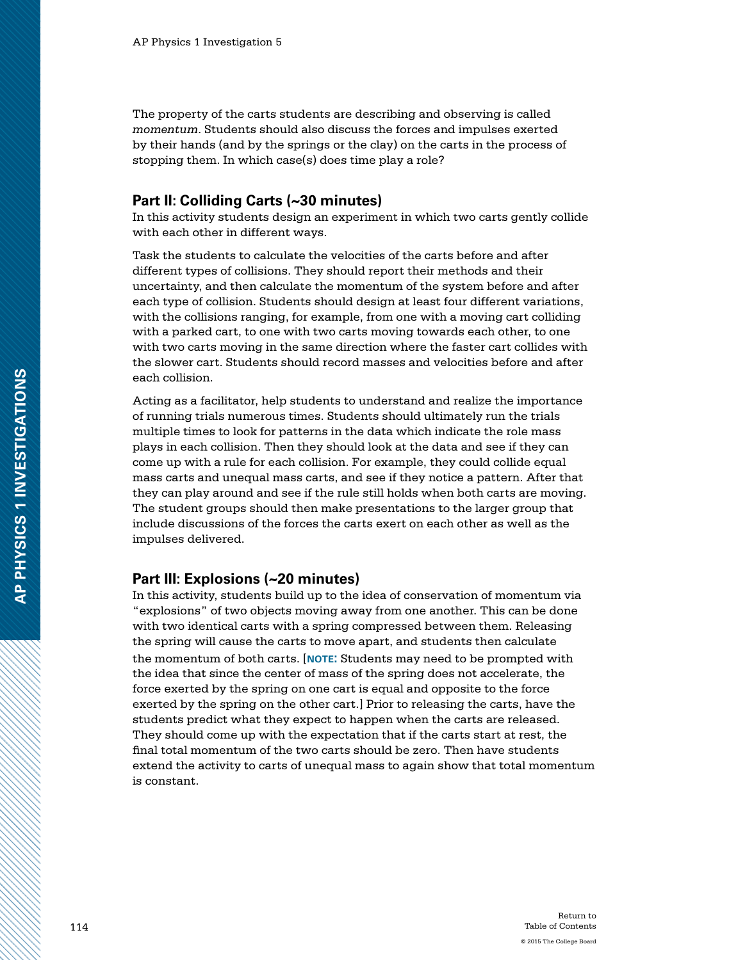The property of the carts students are describing and observing is called *momentum*. Students should also discuss the forces and impulses exerted by their hands (and by the springs or the clay) on the carts in the process of stopping them. In which case(s) does time play a role?

### **Part II: Colliding Carts (~30 minutes)**

In this activity students design an experiment in which two carts gently collide with each other in different ways.

Task the students to calculate the velocities of the carts before and after different types of collisions. They should report their methods and their uncertainty, and then calculate the momentum of the system before and after each type of collision. Students should design at least four different variations, with the collisions ranging, for example, from one with a moving cart colliding with a parked cart, to one with two carts moving towards each other, to one with two carts moving in the same direction where the faster cart collides with the slower cart. Students should record masses and velocities before and after each collision.

Acting as a facilitator, help students to understand and realize the importance of running trials numerous times. Students should ultimately run the trials multiple times to look for patterns in the data which indicate the role mass plays in each collision. Then they should look at the data and see if they can come up with a rule for each collision. For example, they could collide equal mass carts and unequal mass carts, and see if they notice a pattern. After that they can play around and see if the rule still holds when both carts are moving. The student groups should then make presentations to the larger group that include discussions of the forces the carts exert on each other as well as the impulses delivered.

### **Part III: Explosions (~20 minutes)**

In this activity, students build up to the idea of conservation of momentum via "explosions" of two objects moving away from one another. This can be done with two identical carts with a spring compressed between them. Releasing the spring will cause the carts to move apart, and students then calculate the momentum of both carts. [**note:** Students may need to be prompted with the idea that since the center of mass of the spring does not accelerate, the force exerted by the spring on one cart is equal and opposite to the force exerted by the spring on the other cart.] Prior to releasing the carts, have the students predict what they expect to happen when the carts are released. They should come up with the expectation that if the carts start at rest, the final total momentum of the two carts should be zero. Then have students extend the activity to carts of unequal mass to again show that total momentum is constant.

**AP PHYSICS 1 INVESTIGATIONS**

AP PHYSICS 1 INVESTIGATIONS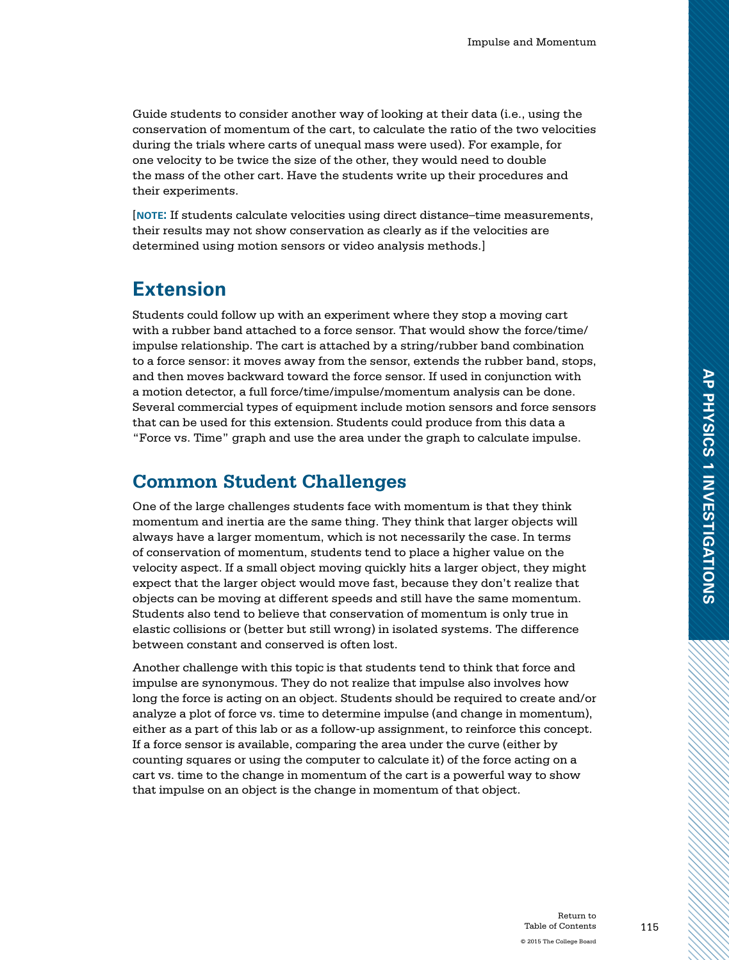Guide students to consider another way of looking at their data (i.e., using the conservation of momentum of the cart, to calculate the ratio of the two velocities during the trials where carts of unequal mass were used). For example, for one velocity to be twice the size of the other, they would need to double the mass of the other cart. Have the students write up their procedures and their experiments.

[**note:** If students calculate velocities using direct distance–time measurements, their results may not show conservation as clearly as if the velocities are determined using motion sensors or video analysis methods.]

### **Extension**

Students could follow up with an experiment where they stop a moving cart with a rubber band attached to a force sensor. That would show the force/time/ impulse relationship. The cart is attached by a string/rubber band combination to a force sensor: it moves away from the sensor, extends the rubber band, stops, and then moves backward toward the force sensor. If used in conjunction with a motion detector, a full force/time/impulse/momentum analysis can be done. Several commercial types of equipment include motion sensors and force sensors that can be used for this extension. Students could produce from this data a "Force vs. Time" graph and use the area under the graph to calculate impulse.

### **Common Student Challenges**

One of the large challenges students face with momentum is that they think momentum and inertia are the same thing. They think that larger objects will always have a larger momentum, which is not necessarily the case. In terms of conservation of momentum, students tend to place a higher value on the velocity aspect. If a small object moving quickly hits a larger object, they might expect that the larger object would move fast, because they don't realize that objects can be moving at different speeds and still have the same momentum. Students also tend to believe that conservation of momentum is only true in elastic collisions or (better but still wrong) in isolated systems. The difference between constant and conserved is often lost.

Another challenge with this topic is that students tend to think that force and impulse are synonymous. They do not realize that impulse also involves how long the force is acting on an object. Students should be required to create and/or analyze a plot of force vs. time to determine impulse (and change in momentum), either as a part of this lab or as a follow-up assignment, to reinforce this concept. If a force sensor is available, comparing the area under the curve (either by counting squares or using the computer to calculate it) of the force acting on a cart vs. time to the change in momentum of the cart is a powerful way to show that impulse on an object is the change in momentum of that object.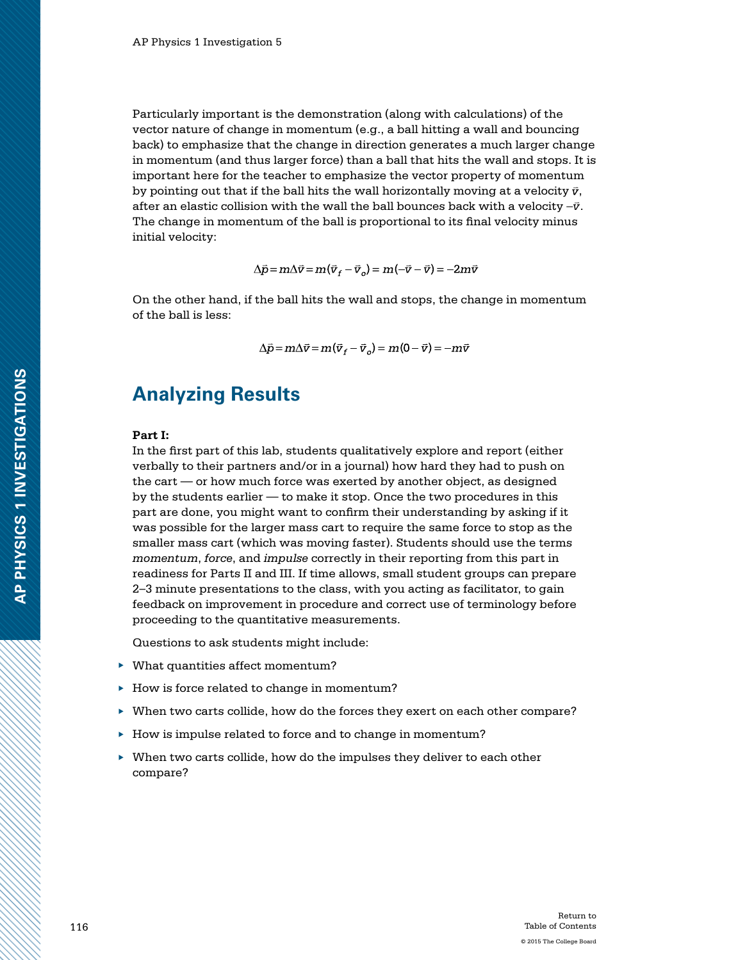Particularly important is the demonstration (along with calculations) of the vector nature of change in momentum (e.g., a ball hitting a wall and bouncing back) to emphasize that the change in direction generates a much larger change in momentum (and thus larger force) than a ball that hits the wall and stops. It is important here for the teacher to emphasize the vector property of momentum by pointing out that if the ball hits the wall horizontally moving at a velocity  $\bar{v}$ , after an elastic collision with the wall the ball bounces back with a velocity − *v*. The change in momentum of the ball is proportional to its final velocity minus initial velocity:

 $\Delta \vec{p} = m \Delta \vec{v} = m(\vec{v}_f - \vec{v}_o) = m(-\vec{v} - \vec{v}) = -2m\vec{v}$ 

On the other hand, if the ball hits the wall and stops, the change in momentum of the ball is less:

$$
\Delta \vec{p} = m\Delta \vec{v} = m(\vec{v}_f - \vec{v}_o) = m(0 - \vec{v}) = -m\vec{v}
$$

### **Analyzing Results**

#### **Part I:**

In the first part of this lab, students qualitatively explore and report (either verbally to their partners and/or in a journal) how hard they had to push on the cart — or how much force was exerted by another object, as designed by the students earlier — to make it stop. Once the two procedures in this part are done, you might want to confirm their understanding by asking if it was possible for the larger mass cart to require the same force to stop as the smaller mass cart (which was moving faster). Students should use the terms *momentum*, *force*, and *impulse* correctly in their reporting from this part in readiness for Parts II and III. If time allows, small student groups can prepare 2–3 minute presentations to the class, with you acting as facilitator, to gain feedback on improvement in procedure and correct use of terminology before proceeding to the quantitative measurements.

Questions to ask students might include:

- ▶ What quantities affect momentum?
- ▶ How is force related to change in momentum?
- ▶ When two carts collide, how do the forces they exert on each other compare?
- ▶ How is impulse related to force and to change in momentum?
- ▶ When two carts collide, how do the impulses they deliver to each other compare?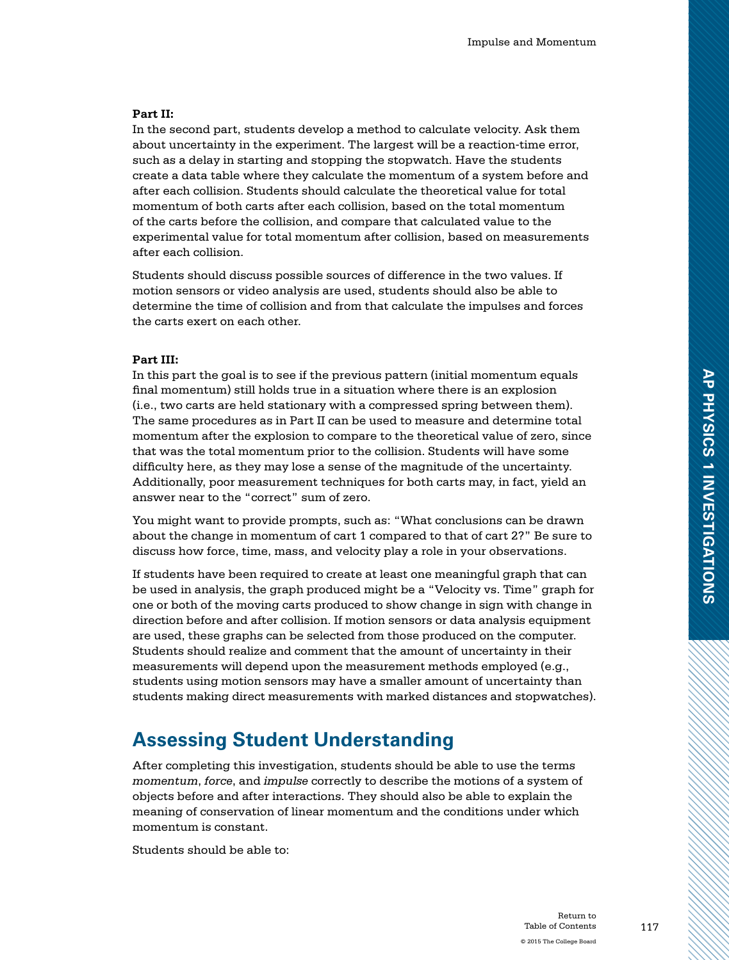#### **Part II:**

In the second part, students develop a method to calculate velocity. Ask them about uncertainty in the experiment. The largest will be a reaction-time error, such as a delay in starting and stopping the stopwatch. Have the students create a data table where they calculate the momentum of a system before and after each collision. Students should calculate the theoretical value for total momentum of both carts after each collision, based on the total momentum of the carts before the collision, and compare that calculated value to the experimental value for total momentum after collision, based on measurements after each collision.

Students should discuss possible sources of difference in the two values. If motion sensors or video analysis are used, students should also be able to determine the time of collision and from that calculate the impulses and forces the carts exert on each other.

### **Part III:**

In this part the goal is to see if the previous pattern (initial momentum equals final momentum) still holds true in a situation where there is an explosion (i.e., two carts are held stationary with a compressed spring between them). The same procedures as in Part II can be used to measure and determine total momentum after the explosion to compare to the theoretical value of zero, since that was the total momentum prior to the collision. Students will have some difficulty here, as they may lose a sense of the magnitude of the uncertainty. Additionally, poor measurement techniques for both carts may, in fact, yield an answer near to the "correct" sum of zero.

You might want to provide prompts, such as: "What conclusions can be drawn about the change in momentum of cart 1 compared to that of cart 2?" Be sure to discuss how force, time, mass, and velocity play a role in your observations.

If students have been required to create at least one meaningful graph that can be used in analysis, the graph produced might be a "Velocity vs. Time" graph for one or both of the moving carts produced to show change in sign with change in direction before and after collision. If motion sensors or data analysis equipment are used, these graphs can be selected from those produced on the computer. Students should realize and comment that the amount of uncertainty in their measurements will depend upon the measurement methods employed (e.g., students using motion sensors may have a smaller amount of uncertainty than students making direct measurements with marked distances and stopwatches).

# **Assessing Student Understanding**

After completing this investigation, students should be able to use the terms *momentum*, *force*, and *impulse* correctly to describe the motions of a system of objects before and after interactions. They should also be able to explain the meaning of conservation of linear momentum and the conditions under which momentum is constant.

Students should be able to: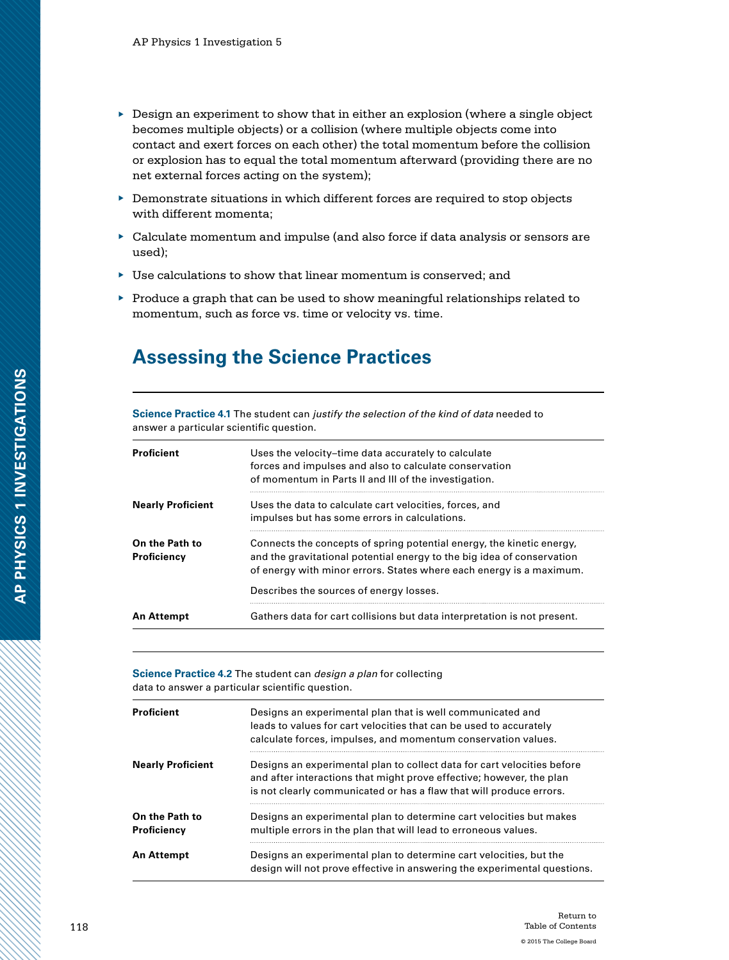- $\triangleright$  Design an experiment to show that in either an explosion (where a single object becomes multiple objects) or a collision (where multiple objects come into contact and exert forces on each other) the total momentum before the collision or explosion has to equal the total momentum afterward (providing there are no net external forces acting on the system);
- ▶ Demonstrate situations in which different forces are required to stop objects with different momenta;
- ▶ Calculate momentum and impulse (and also force if data analysis or sensors are used);
- $\blacktriangleright$  Use calculations to show that linear momentum is conserved; and
- $\blacktriangleright$  Produce a graph that can be used to show meaningful relationships related to momentum, such as force vs. time or velocity vs. time.

# **Assessing the Science Practices**

**Science Practice 4.1** The student can *justify the selection of the kind of data* needed to answer a particular scientific question.

| <b>Proficient</b>             | Uses the velocity-time data accurately to calculate<br>forces and impulses and also to calculate conservation<br>of momentum in Parts II and III of the investigation.                                                 |
|-------------------------------|------------------------------------------------------------------------------------------------------------------------------------------------------------------------------------------------------------------------|
| <b>Nearly Proficient</b>      | Uses the data to calculate cart velocities, forces, and<br>impulses but has some errors in calculations.                                                                                                               |
| On the Path to<br>Proficiency | Connects the concepts of spring potential energy, the kinetic energy,<br>and the gravitational potential energy to the big idea of conservation<br>of energy with minor errors. States where each energy is a maximum. |
|                               | Describes the sources of energy losses.                                                                                                                                                                                |
| An Attempt                    | Gathers data for cart collisions but data interpretation is not present.                                                                                                                                               |

**Science Practice 4.2** The student can *design a plan* for collecting data to answer a particular scientific question.

| <b>Proficient</b>             | Designs an experimental plan that is well communicated and<br>leads to values for cart velocities that can be used to accurately<br>calculate forces, impulses, and momentum conservation values.                      |
|-------------------------------|------------------------------------------------------------------------------------------------------------------------------------------------------------------------------------------------------------------------|
| <b>Nearly Proficient</b>      | Designs an experimental plan to collect data for cart velocities before<br>and after interactions that might prove effective; however, the plan<br>is not clearly communicated or has a flaw that will produce errors. |
| On the Path to<br>Proficiency | Designs an experimental plan to determine cart velocities but makes<br>multiple errors in the plan that will lead to erroneous values.                                                                                 |
| <b>An Attempt</b>             | Designs an experimental plan to determine cart velocities, but the<br>design will not prove effective in answering the experimental questions.                                                                         |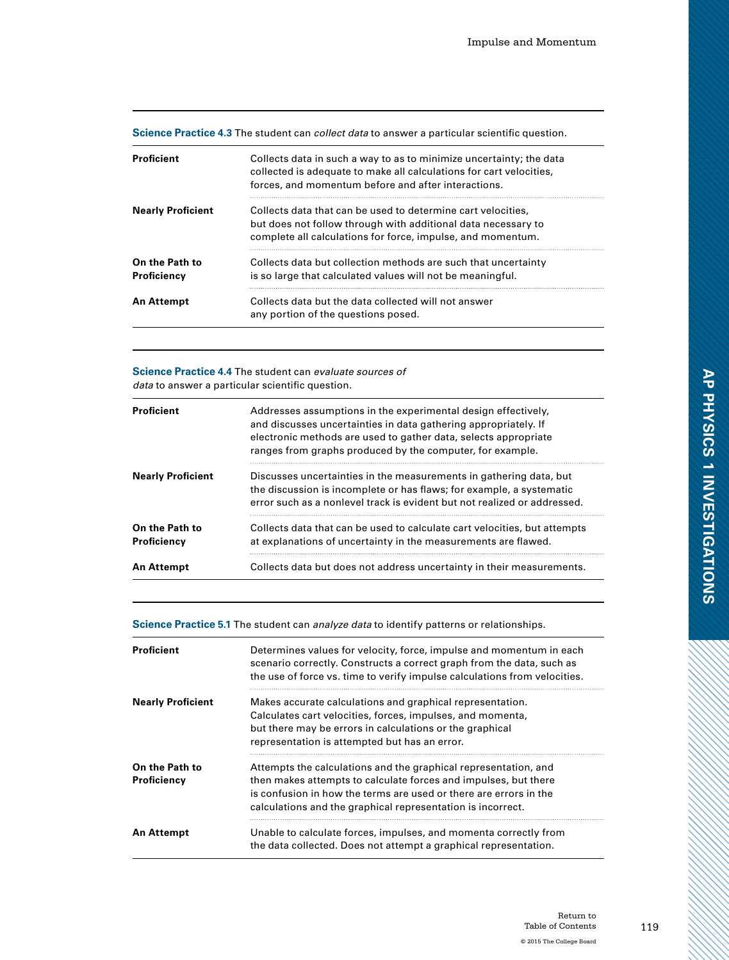| Science Practice 4.3 The student can <i>collect data</i> to answer a particular scientific question. |  |  |  |  |  |
|------------------------------------------------------------------------------------------------------|--|--|--|--|--|
|------------------------------------------------------------------------------------------------------|--|--|--|--|--|

| <b>Proficient</b>             | Collects data in such a way to as to minimize uncertainty; the data<br>collected is adequate to make all calculations for cart velocities,<br>forces, and momentum before and after interactions. |
|-------------------------------|---------------------------------------------------------------------------------------------------------------------------------------------------------------------------------------------------|
| <b>Nearly Proficient</b>      | Collects data that can be used to determine cart velocities,<br>but does not follow through with additional data necessary to<br>complete all calculations for force, impulse, and momentum.      |
| On the Path to<br>Proficiency | Collects data but collection methods are such that uncertainty<br>is so large that calculated values will not be meaningful.                                                                      |
| An Attempt                    | Collects data but the data collected will not answer<br>any portion of the questions posed.                                                                                                       |

### **Science Practice 4.4** The student can *evaluate sources of data* to answer a particular scientific question.

| <b>Proficient</b>             | Addresses assumptions in the experimental design effectively,<br>and discusses uncertainties in data gathering appropriately. If<br>electronic methods are used to gather data, selects appropriate<br>ranges from graphs produced by the computer, for example. |
|-------------------------------|------------------------------------------------------------------------------------------------------------------------------------------------------------------------------------------------------------------------------------------------------------------|
| <b>Nearly Proficient</b>      | Discusses uncertainties in the measurements in gathering data, but<br>the discussion is incomplete or has flaws; for example, a systematic<br>error such as a nonlevel track is evident but not realized or addressed.                                           |
| On the Path to<br>Proficiency | Collects data that can be used to calculate cart velocities, but attempts<br>at explanations of uncertainty in the measurements are flawed.                                                                                                                      |
| <b>An Attempt</b>             | Collects data but does not address uncertainty in their measurements.                                                                                                                                                                                            |

**Science Practice 5.1** The student can *analyze data* to identify patterns or relationships.

| Proficient                    | Determines values for velocity, force, impulse and momentum in each<br>scenario correctly. Constructs a correct graph from the data, such as<br>the use of force vs. time to verify impulse calculations from velocities.                                              |
|-------------------------------|------------------------------------------------------------------------------------------------------------------------------------------------------------------------------------------------------------------------------------------------------------------------|
| <b>Nearly Proficient</b>      | Makes accurate calculations and graphical representation.<br>Calculates cart velocities, forces, impulses, and momenta,<br>but there may be errors in calculations or the graphical<br>representation is attempted but has an error.                                   |
| On the Path to<br>Proficiency | Attempts the calculations and the graphical representation, and<br>then makes attempts to calculate forces and impulses, but there<br>is confusion in how the terms are used or there are errors in the<br>calculations and the graphical representation is incorrect. |
| An Attempt                    | Unable to calculate forces, impulses, and momenta correctly from<br>the data collected. Does not attempt a graphical representation.                                                                                                                                   |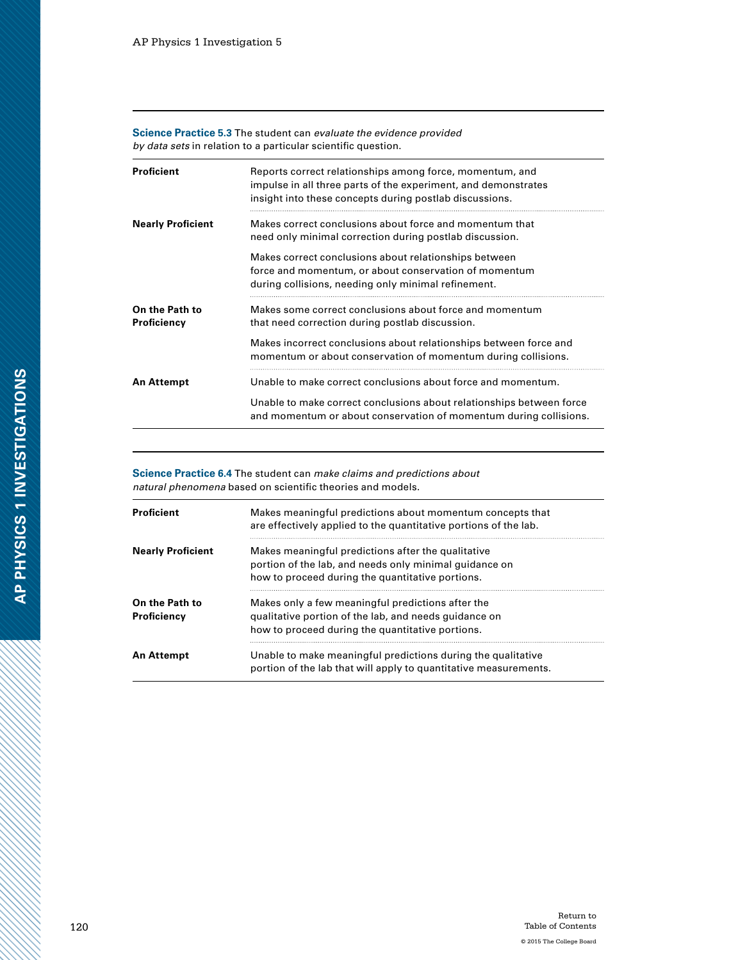**Science Practice 5.3** The student can *evaluate the evidence provided by data sets* in relation to a particular scientific question.

| <b>Proficient</b>             | Reports correct relationships among force, momentum, and<br>impulse in all three parts of the experiment, and demonstrates<br>insight into these concepts during postlab discussions. |
|-------------------------------|---------------------------------------------------------------------------------------------------------------------------------------------------------------------------------------|
| <b>Nearly Proficient</b>      | Makes correct conclusions about force and momentum that<br>need only minimal correction during postlab discussion.                                                                    |
|                               | Makes correct conclusions about relationships between<br>force and momentum, or about conservation of momentum<br>during collisions, needing only minimal refinement.                 |
| On the Path to<br>Proficiency | Makes some correct conclusions about force and momentum<br>that need correction during postlab discussion.                                                                            |
|                               | Makes incorrect conclusions about relationships between force and<br>momentum or about conservation of momentum during collisions.                                                    |
| <b>An Attempt</b>             | Unable to make correct conclusions about force and momentum.                                                                                                                          |
|                               | Unable to make correct conclusions about relationships between force<br>and momentum or about conservation of momentum during collisions.                                             |

**Science Practice 6.4** The student can *make claims and predictions about natural phenomena* based on scientific theories and models.

| Proficient                    | Makes meaningful predictions about momentum concepts that<br>are effectively applied to the quantitative portions of the lab.                                    |
|-------------------------------|------------------------------------------------------------------------------------------------------------------------------------------------------------------|
| <b>Nearly Proficient</b>      | Makes meaningful predictions after the qualitative<br>portion of the lab, and needs only minimal guidance on<br>how to proceed during the quantitative portions. |
| On the Path to<br>Proficiencv | Makes only a few meaningful predictions after the<br>qualitative portion of the lab, and needs quidance on<br>how to proceed during the quantitative portions.   |
| An Attempt                    | Unable to make meaningful predictions during the qualitative<br>portion of the lab that will apply to quantitative measurements.                                 |

a dhe a cheall ann an Cheangailte ann an Cheangailte ann an Cheangailte ann an Cheangailte